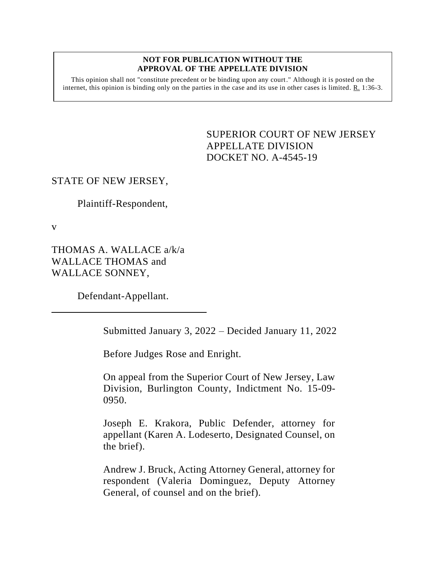#### **NOT FOR PUBLICATION WITHOUT THE APPROVAL OF THE APPELLATE DIVISION**

This opinion shall not "constitute precedent or be binding upon any court." Although it is posted on the internet, this opinion is binding only on the parties in the case and its use in other cases is limited.  $R_1$  1:36-3.

> <span id="page-0-0"></span>SUPERIOR COURT OF NEW JERSEY APPELLATE DIVISION DOCKET NO. A-4545-19

### STATE OF NEW JERSEY,

Plaintiff-Respondent,

v

THOMAS A. WALLACE a/k/a WALLACE THOMAS and WALLACE SONNEY,

Defendant-Appellant.

Submitted January 3, 2022 – Decided January 11, 2022

Before Judges Rose and Enright.

On appeal from the Superior Court of New Jersey, Law Division, Burlington County, Indictment No. 15-09- 0950.

Joseph E. Krakora, Public Defender, attorney for appellant (Karen A. Lodeserto, Designated Counsel, on the brief).

Andrew J. Bruck, Acting Attorney General, attorney for respondent (Valeria Dominguez, Deputy Attorney General, of counsel and on the brief).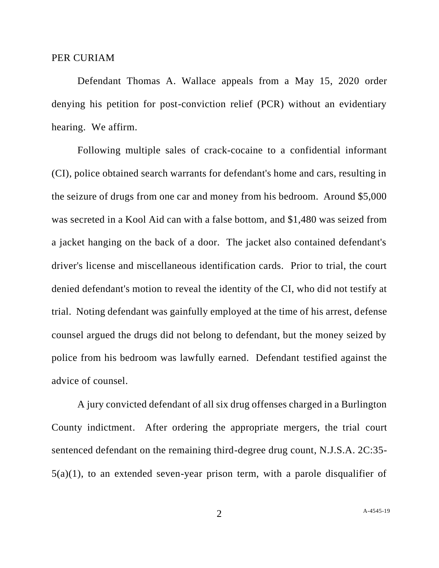#### PER CURIAM

Defendant Thomas A. Wallace appeals from a May 15, 2020 order denying his petition for post-conviction relief (PCR) without an evidentiary hearing. We affirm.

Following multiple sales of crack-cocaine to a confidential informant (CI), police obtained search warrants for defendant's home and cars, resulting in the seizure of drugs from one car and money from his bedroom. Around \$5,000 was secreted in a Kool Aid can with a false bottom, and \$1,480 was seized from a jacket hanging on the back of a door. The jacket also contained defendant's driver's license and miscellaneous identification cards. Prior to trial, the court denied defendant's motion to reveal the identity of the CI, who did not testify at trial. Noting defendant was gainfully employed at the time of his arrest, defense counsel argued the drugs did not belong to defendant, but the money seized by police from his bedroom was lawfully earned. Defendant testified against the advice of counsel.

A jury convicted defendant of all six drug offenses charged in a Burlington County indictment. After ordering the appropriate mergers, the trial court sentenced defendant on the remaining third-degree drug count, N.J.S.A. 2C:35- 5(a)(1), to an extended seven-year prison term, with a parole disqualifier of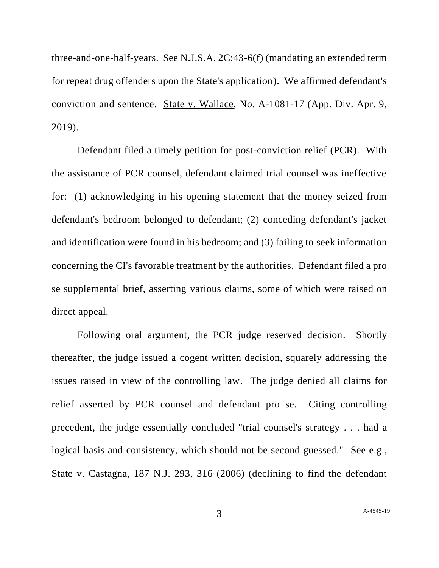three-and-one-half-years. See N.J.S.A. 2C:43-6(f) (mandating an extended term for repeat drug offenders upon the State's application). We affirmed defendant's conviction and sentence. State v. Wallace, No. A-1081-17 (App. Div. Apr. 9, 2019).

Defendant filed a timely petition for post-conviction relief (PCR). With the assistance of PCR counsel, defendant claimed trial counsel was ineffective for: (1) acknowledging in his opening statement that the money seized from defendant's bedroom belonged to defendant; (2) conceding defendant's jacket and identification were found in his bedroom; and (3) failing to seek information concerning the CI's favorable treatment by the authorities. Defendant filed a pro se supplemental brief, asserting various claims, some of which were raised on direct appeal.

Following oral argument, the PCR judge reserved decision. Shortly thereafter, the judge issued a cogent written decision, squarely addressing the issues raised in view of the controlling law. The judge denied all claims for relief asserted by PCR counsel and defendant pro se. Citing controlling precedent, the judge essentially concluded "trial counsel's strategy . . . had a logical basis and consistency, which should not be second guessed." See e.g., State v. Castagna, 187 N.J. 293, 316 (2006) (declining to find the defendant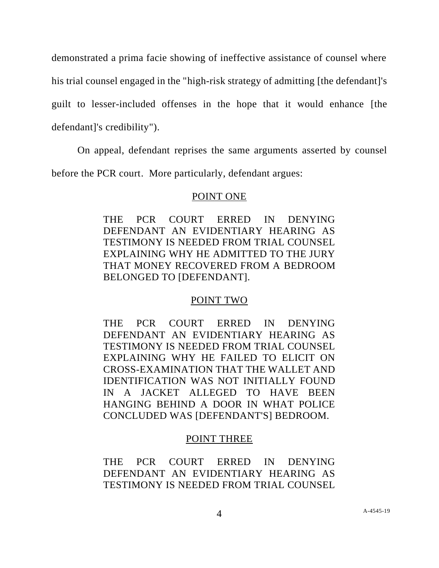demonstrated a prima facie showing of ineffective assistance of counsel where his trial counsel engaged in the "high-risk strategy of admitting [the defendant]'s guilt to lesser-included offenses in the hope that it would enhance [the defendant]'s credibility").

On appeal, defendant reprises the same arguments asserted by counsel

before the PCR court. More particularly, defendant argues:

## POINT ONE

THE PCR COURT ERRED IN DENYING DEFENDANT AN EVIDENTIARY HEARING AS TESTIMONY IS NEEDED FROM TRIAL COUNSEL EXPLAINING WHY HE ADMITTED TO THE JURY THAT MONEY RECOVERED FROM A BEDROOM BELONGED TO [DEFENDANT].

# POINT TWO

THE PCR COURT ERRED IN DENYING DEFENDANT AN EVIDENTIARY HEARING AS TESTIMONY IS NEEDED FROM TRIAL COUNSEL EXPLAINING WHY HE FAILED TO ELICIT ON CROSS-EXAMINATION THAT THE WALLET AND IDENTIFICATION WAS NOT INITIALLY FOUND IN A JACKET ALLEGED TO HAVE BEEN HANGING BEHIND A DOOR IN WHAT POLICE CONCLUDED WAS [DEFENDANT'S] BEDROOM.

# POINT THREE

THE PCR COURT ERRED IN DENYING DEFENDANT AN EVIDENTIARY HEARING AS TESTIMONY IS NEEDED FROM TRIAL COUNSEL